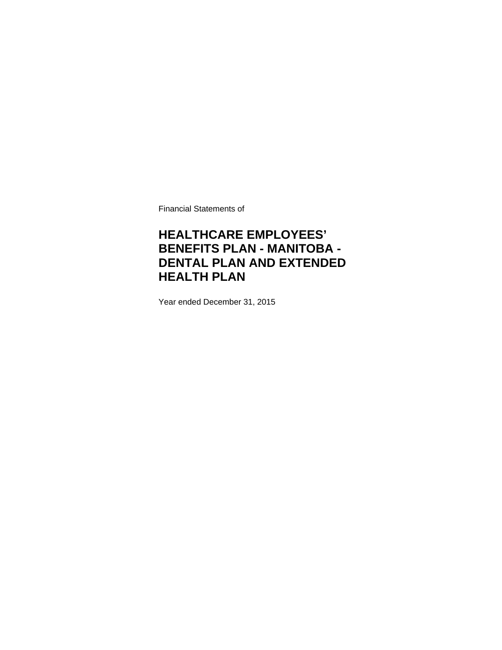Financial Statements of

# **HEALTHCARE EMPLOYEES' BENEFITS PLAN - MANITOBA - DENTAL PLAN AND EXTENDED HEALTH PLAN**

Year ended December 31, 2015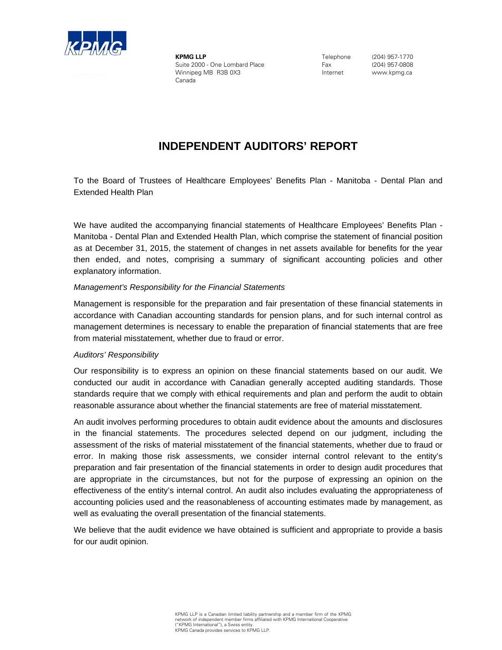

**KPMG LLP** Suite 2000 - One Lombard Place Winnipeg MB R3B 0X3 Canada

Telephone Fax Internet

(204) 957-1770 (204) 957-0808 www.kpmg.ca

# **INDEPENDENT AUDITORS' REPORT**

To the Board of Trustees of Healthcare Employees' Benefits Plan - Manitoba - Dental Plan and Extended Health Plan

We have audited the accompanying financial statements of Healthcare Employees' Benefits Plan - Manitoba - Dental Plan and Extended Health Plan, which comprise the statement of financial position as at December 31, 2015, the statement of changes in net assets available for benefits for the year then ended, and notes, comprising a summary of significant accounting policies and other explanatory information.

#### *Management's Responsibility for the Financial Statements*

Management is responsible for the preparation and fair presentation of these financial statements in accordance with Canadian accounting standards for pension plans, and for such internal control as management determines is necessary to enable the preparation of financial statements that are free from material misstatement, whether due to fraud or error.

#### *Auditors' Responsibility*

Our responsibility is to express an opinion on these financial statements based on our audit. We conducted our audit in accordance with Canadian generally accepted auditing standards. Those standards require that we comply with ethical requirements and plan and perform the audit to obtain reasonable assurance about whether the financial statements are free of material misstatement.

An audit involves performing procedures to obtain audit evidence about the amounts and disclosures in the financial statements. The procedures selected depend on our judgment, including the assessment of the risks of material misstatement of the financial statements, whether due to fraud or error. In making those risk assessments, we consider internal control relevant to the entity's preparation and fair presentation of the financial statements in order to design audit procedures that are appropriate in the circumstances, but not for the purpose of expressing an opinion on the effectiveness of the entity's internal control. An audit also includes evaluating the appropriateness of accounting policies used and the reasonableness of accounting estimates made by management, as well as evaluating the overall presentation of the financial statements.

We believe that the audit evidence we have obtained is sufficient and appropriate to provide a basis for our audit opinion.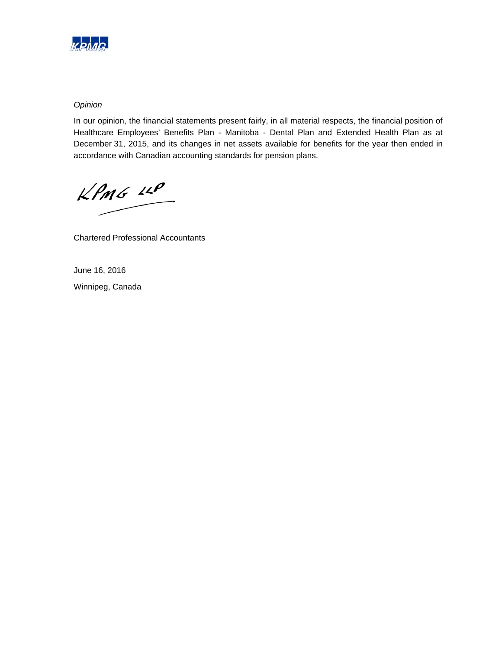

#### *Opinion*

In our opinion, the financial statements present fairly, in all material respects, the financial position of Healthcare Employees' Benefits Plan - Manitoba - Dental Plan and Extended Health Plan as at December 31, 2015, and its changes in net assets available for benefits for the year then ended in accordance with Canadian accounting standards for pension plans.

 $KPMG$  12P

Chartered Professional Accountants

June 16, 2016 Winnipeg, Canada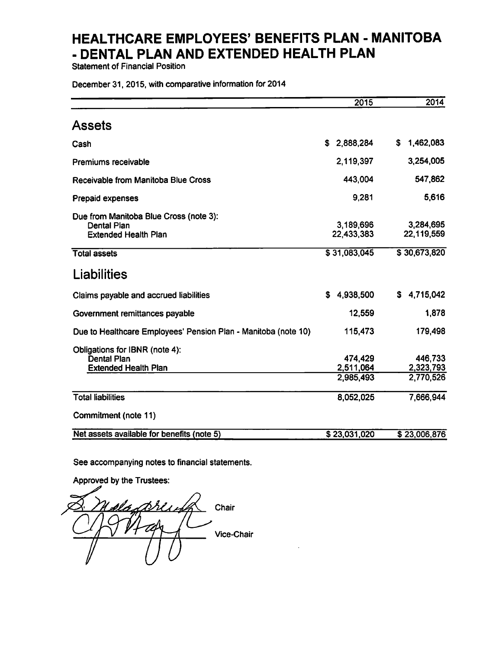**Statement of Financial Position** 

December 31, 2015, with comparative information for 2014

|                                                                                             | 2015                              | 2014                              |
|---------------------------------------------------------------------------------------------|-----------------------------------|-----------------------------------|
| Assets                                                                                      |                                   |                                   |
| Cash                                                                                        | 2,888,284<br>S.                   | 1,462,083<br>S                    |
| Premiums receivable                                                                         | 2,119,397                         | 3,254,005                         |
| Receivable from Manitoba Blue Cross                                                         | 443,004                           | 547,862                           |
| <b>Prepaid expenses</b>                                                                     | 9,281                             | 5,616                             |
| Due from Manitoba Blue Cross (note 3):<br><b>Dental Plan</b><br><b>Extended Health Plan</b> | 3,189,696<br>22.433.383           | 3,284,695<br>22,119,559           |
| <b>Total assets</b>                                                                         | \$31,083,045                      | \$30,673,820                      |
| <b>Liabilities</b>                                                                          |                                   |                                   |
| Claims payable and accrued liabilities                                                      | 4,938,500<br>S.                   | \$4,715,042                       |
| Government remittances payable                                                              | 12,559                            | 1,878                             |
| Due to Healthcare Employees' Pension Plan - Manitoba (note 10)                              | 115,473                           | 179,498                           |
| Obligations for IBNR (note 4):<br><b>Dental Plan</b><br><b>Extended Health Plan</b>         | 474,429<br>2,511,064<br>2,985,493 | 446,733<br>2,323,793<br>2,770,526 |
| <b>Total liabilities</b>                                                                    | 8,052,025                         | 7,666,944                         |
| Commitment (note 11)                                                                        |                                   |                                   |
| Net assets available for benefits (note 5)                                                  | \$23,031,020                      | \$23,006,876                      |

See accompanying notes to financial statements.

Approved by the Trustees:

Chair Vice-Chair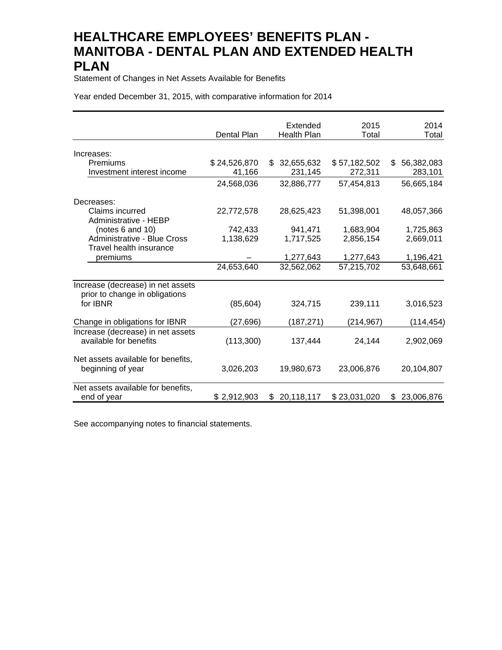Statement of Changes in Net Assets Available for Benefits

Year ended December 31, 2015, with comparative information for 2014

|                                                                     | Dental Plan  | Extended<br><b>Health Plan</b> | 2015<br>Total | 2014<br>Total    |
|---------------------------------------------------------------------|--------------|--------------------------------|---------------|------------------|
| Increases:                                                          |              |                                |               |                  |
| Premiums                                                            | \$24,526,870 | 32,655,632<br>\$               | \$57,182,502  | 56,382,083<br>\$ |
| Investment interest income                                          | 41,166       | 231,145                        | 272,311       | 283,101          |
|                                                                     | 24,568,036   | 32,886,777                     | 57,454,813    | 56,665,184       |
| Decreases:                                                          |              |                                |               |                  |
| Claims incurred<br>Administrative - HEBP                            | 22,772,578   | 28,625,423                     | 51,398,001    | 48,057,366       |
| (notes 6 and 10)                                                    | 742,433      | 941,471                        | 1,683,904     | 1,725,863        |
| <b>Administrative - Blue Cross</b>                                  | 1,138,629    | 1,717,525                      | 2,856,154     | 2,669,011        |
| Travel health insurance                                             |              |                                |               |                  |
| premiums                                                            |              | 1,277,643                      | 1,277,643     | 1,196,421        |
|                                                                     | 24,653,640   | 32,562,062                     | 57,215,702    | 53,648,661       |
| Increase (decrease) in net assets<br>prior to change in obligations |              |                                |               |                  |
| for IBNR                                                            | (85, 604)    | 324,715                        | 239,111       | 3,016,523        |
| Change in obligations for IBNR                                      | (27,696)     | (187, 271)                     | (214, 967)    | (114,454)        |
| Increase (decrease) in net assets<br>available for benefits         | (113,300)    | 137,444                        | 24,144        | 2,902,069        |
| Net assets available for benefits,<br>beginning of year             | 3,026,203    | 19,980,673                     | 23,006,876    | 20,104,807       |
| Net assets available for benefits,<br>end of year                   | \$2,912,903  | 20,118,117<br>S.               | \$23,031,020  | 23,006,876<br>\$ |

See accompanying notes to financial statements.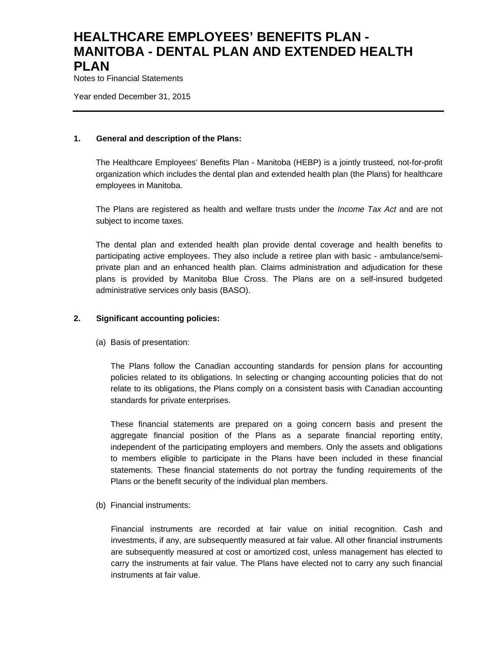Notes to Financial Statements

Year ended December 31, 2015

#### **1. General and description of the Plans:**

The Healthcare Employees' Benefits Plan - Manitoba (HEBP) is a jointly trusteed, not-for-profit organization which includes the dental plan and extended health plan (the Plans) for healthcare employees in Manitoba.

The Plans are registered as health and welfare trusts under the *Income Tax Act* and are not subject to income taxes*.*

The dental plan and extended health plan provide dental coverage and health benefits to participating active employees. They also include a retiree plan with basic - ambulance/semiprivate plan and an enhanced health plan. Claims administration and adjudication for these plans is provided by Manitoba Blue Cross. The Plans are on a self-insured budgeted administrative services only basis (BASO).

#### **2. Significant accounting policies:**

(a) Basis of presentation:

The Plans follow the Canadian accounting standards for pension plans for accounting policies related to its obligations. In selecting or changing accounting policies that do not relate to its obligations, the Plans comply on a consistent basis with Canadian accounting standards for private enterprises.

These financial statements are prepared on a going concern basis and present the aggregate financial position of the Plans as a separate financial reporting entity, independent of the participating employers and members. Only the assets and obligations to members eligible to participate in the Plans have been included in these financial statements. These financial statements do not portray the funding requirements of the Plans or the benefit security of the individual plan members.

(b) Financial instruments:

Financial instruments are recorded at fair value on initial recognition. Cash and investments, if any, are subsequently measured at fair value. All other financial instruments are subsequently measured at cost or amortized cost, unless management has elected to carry the instruments at fair value. The Plans have elected not to carry any such financial instruments at fair value.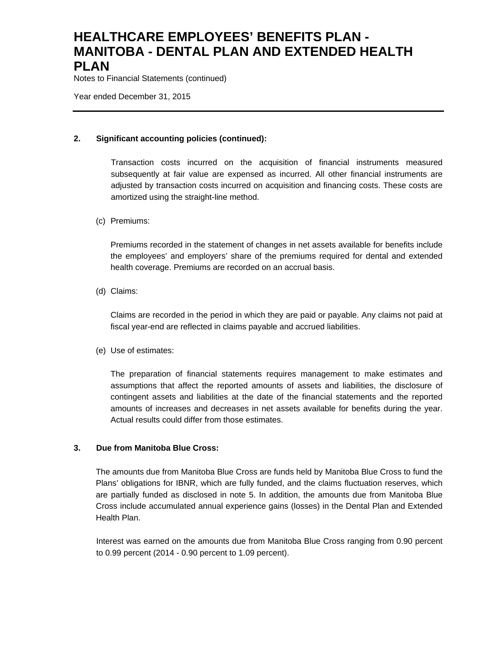Notes to Financial Statements (continued)

Year ended December 31, 2015

#### **2. Significant accounting policies (continued):**

Transaction costs incurred on the acquisition of financial instruments measured subsequently at fair value are expensed as incurred. All other financial instruments are adjusted by transaction costs incurred on acquisition and financing costs. These costs are amortized using the straight-line method.

#### (c) Premiums:

Premiums recorded in the statement of changes in net assets available for benefits include the employees' and employers' share of the premiums required for dental and extended health coverage. Premiums are recorded on an accrual basis.

(d) Claims:

Claims are recorded in the period in which they are paid or payable. Any claims not paid at fiscal year-end are reflected in claims payable and accrued liabilities.

(e) Use of estimates:

The preparation of financial statements requires management to make estimates and assumptions that affect the reported amounts of assets and liabilities, the disclosure of contingent assets and liabilities at the date of the financial statements and the reported amounts of increases and decreases in net assets available for benefits during the year. Actual results could differ from those estimates.

#### **3. Due from Manitoba Blue Cross:**

The amounts due from Manitoba Blue Cross are funds held by Manitoba Blue Cross to fund the Plans' obligations for IBNR, which are fully funded, and the claims fluctuation reserves, which are partially funded as disclosed in note 5. In addition, the amounts due from Manitoba Blue Cross include accumulated annual experience gains (losses) in the Dental Plan and Extended Health Plan.

Interest was earned on the amounts due from Manitoba Blue Cross ranging from 0.90 percent to 0.99 percent (2014 - 0.90 percent to 1.09 percent).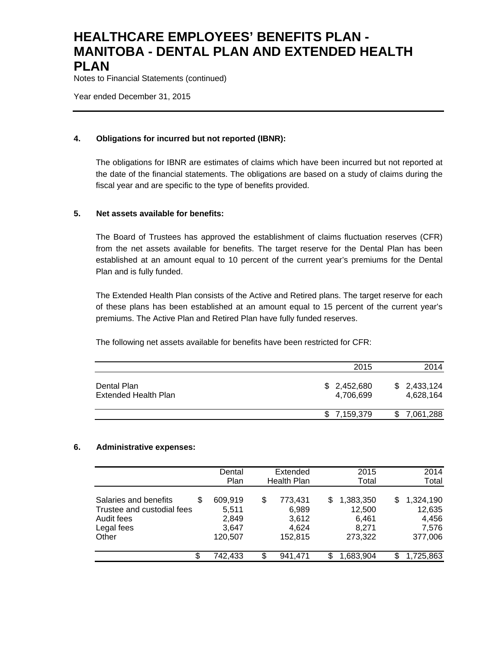Notes to Financial Statements (continued)

Year ended December 31, 2015

#### **4. Obligations for incurred but not reported (IBNR):**

The obligations for IBNR are estimates of claims which have been incurred but not reported at the date of the financial statements. The obligations are based on a study of claims during the fiscal year and are specific to the type of benefits provided.

#### **5. Net assets available for benefits:**

The Board of Trustees has approved the establishment of claims fluctuation reserves (CFR) from the net assets available for benefits. The target reserve for the Dental Plan has been established at an amount equal to 10 percent of the current year's premiums for the Dental Plan and is fully funded.

The Extended Health Plan consists of the Active and Retired plans. The target reserve for each of these plans has been established at an amount equal to 15 percent of the current year's premiums. The Active Plan and Retired Plan have fully funded reserves.

The following net assets available for benefits have been restricted for CFR:

|                                            | 2015                     | 2014                     |
|--------------------------------------------|--------------------------|--------------------------|
| Dental Plan<br><b>Extended Health Plan</b> | \$2,452,680<br>4.706.699 | \$2,433,124<br>4,628,164 |
|                                            | \$ 7.159.379             | \$7,061,288              |

#### **6. Administrative expenses:**

|                                                                                          |    | Dental<br>Plan                                | Extended<br>Health Plan                             |    | 2015<br>Total                                    |   | 2014<br>Total                                    |
|------------------------------------------------------------------------------------------|----|-----------------------------------------------|-----------------------------------------------------|----|--------------------------------------------------|---|--------------------------------------------------|
| Salaries and benefits<br>Trustee and custodial fees<br>Audit fees<br>Legal fees<br>Other | S  | 609,919<br>5,511<br>2,849<br>3,647<br>120,507 | \$<br>773.431<br>6,989<br>3,612<br>4.624<br>152.815 | \$ | 1,383,350<br>12,500<br>6.461<br>8.271<br>273,322 | S | 1,324,190<br>12,635<br>4,456<br>7,576<br>377,006 |
|                                                                                          | \$ | 742,433                                       | \$<br>941.471                                       | S  | 1,683,904                                        | S | 1,725,863                                        |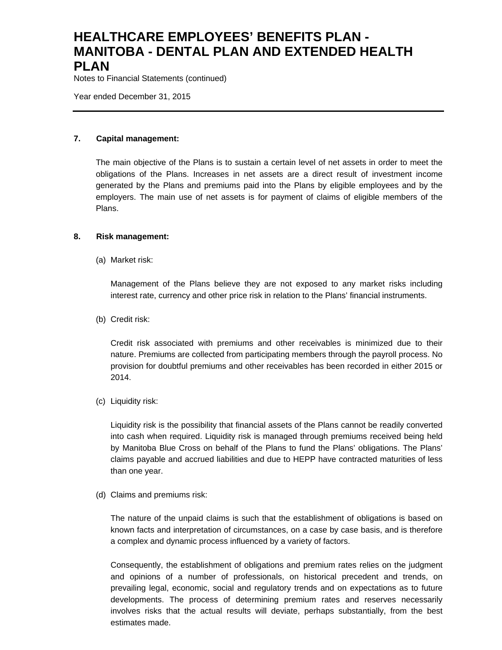Notes to Financial Statements (continued)

Year ended December 31, 2015

#### **7. Capital management:**

The main objective of the Plans is to sustain a certain level of net assets in order to meet the obligations of the Plans. Increases in net assets are a direct result of investment income generated by the Plans and premiums paid into the Plans by eligible employees and by the employers. The main use of net assets is for payment of claims of eligible members of the Plans.

#### **8. Risk management:**

(a) Market risk:

Management of the Plans believe they are not exposed to any market risks including interest rate, currency and other price risk in relation to the Plans' financial instruments.

(b) Credit risk:

Credit risk associated with premiums and other receivables is minimized due to their nature. Premiums are collected from participating members through the payroll process. No provision for doubtful premiums and other receivables has been recorded in either 2015 or 2014.

(c) Liquidity risk:

Liquidity risk is the possibility that financial assets of the Plans cannot be readily converted into cash when required. Liquidity risk is managed through premiums received being held by Manitoba Blue Cross on behalf of the Plans to fund the Plans' obligations. The Plans' claims payable and accrued liabilities and due to HEPP have contracted maturities of less than one year.

(d) Claims and premiums risk:

The nature of the unpaid claims is such that the establishment of obligations is based on known facts and interpretation of circumstances, on a case by case basis, and is therefore a complex and dynamic process influenced by a variety of factors.

Consequently, the establishment of obligations and premium rates relies on the judgment and opinions of a number of professionals, on historical precedent and trends, on prevailing legal, economic, social and regulatory trends and on expectations as to future developments. The process of determining premium rates and reserves necessarily involves risks that the actual results will deviate, perhaps substantially, from the best estimates made.